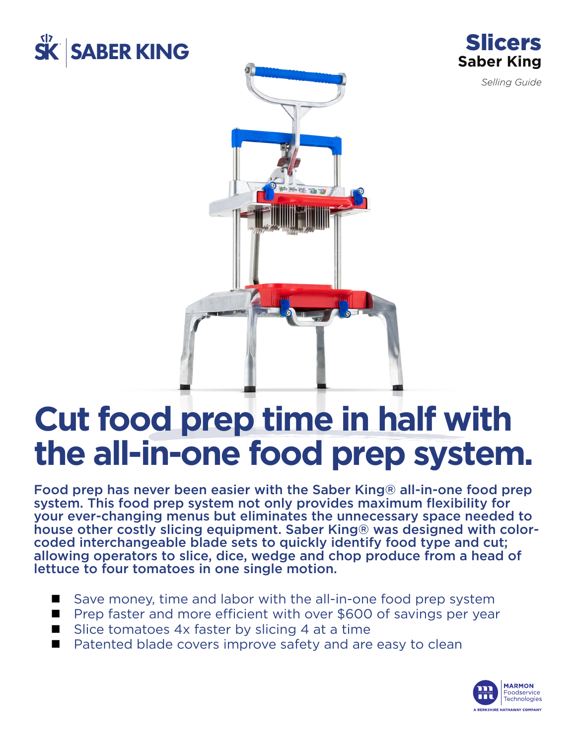



*Selling Guide*



# **Cut food prep time in half with the all-in-one food prep system.**

Food prep has never been easier with the Saber King® all-in-one food prep system. This food prep system not only provides maximum flexibility for your ever-changing menus but eliminates the unnecessary space needed to house other costly slicing equipment. Saber King® was designed with colorcoded interchangeable blade sets to quickly identify food type and cut; allowing operators to slice, dice, wedge and chop produce from a head of lettuce to four tomatoes in one single motion.

- $\blacksquare$  Save money, time and labor with the all-in-one food prep system
- $\blacksquare$  Prep faster and more efficient with over \$600 of savings per year
- Slice tomatoes  $4x$  faster by slicing  $4$  at a time
- $\blacksquare$  Patented blade covers improve safety and are easy to clean